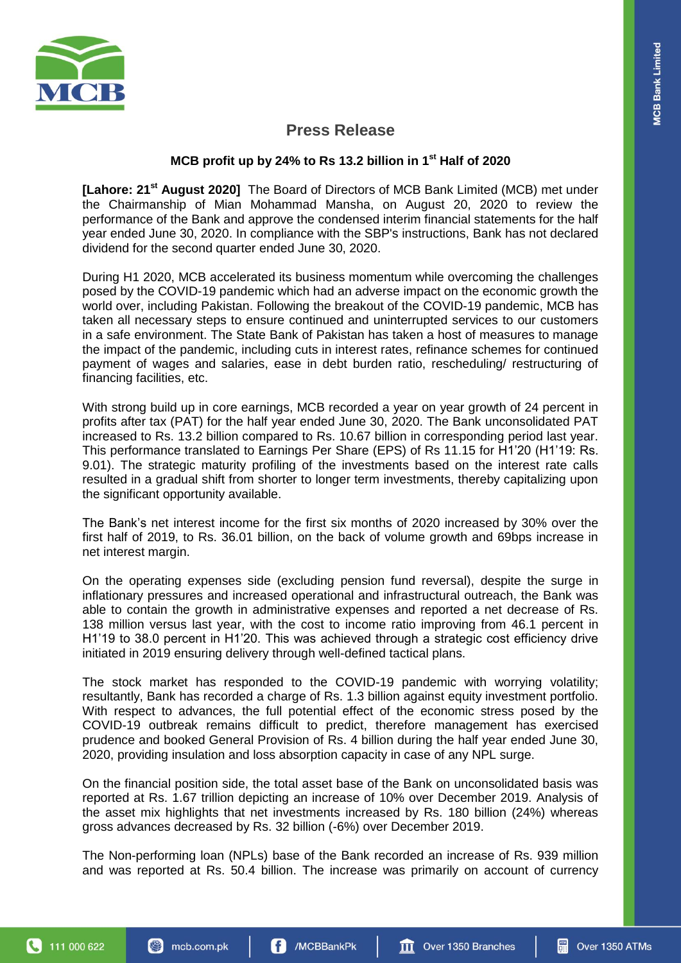

# **Press Release**

## **MCB profit up by 24% to Rs 13.2 billion in 1st Half of 2020**

**[Lahore: 21<sup>st</sup> August 2020]** The Board of Directors of MCB Bank Limited (MCB) met under the Chairmanship of Mian Mohammad Mansha, on August 20, 2020 to review the performance of the Bank and approve the condensed interim financial statements for the half year ended June 30, 2020. In compliance with the SBP's instructions, Bank has not declared dividend for the second quarter ended June 30, 2020.

During H1 2020, MCB accelerated its business momentum while overcoming the challenges posed by the COVID-19 pandemic which had an adverse impact on the economic growth the world over, including Pakistan. Following the breakout of the COVID-19 pandemic, MCB has taken all necessary steps to ensure continued and uninterrupted services to our customers in a safe environment. The State Bank of Pakistan has taken a host of measures to manage the impact of the pandemic, including cuts in interest rates, refinance schemes for continued payment of wages and salaries, ease in debt burden ratio, rescheduling/ restructuring of financing facilities, etc.

With strong build up in core earnings, MCB recorded a year on year growth of 24 percent in profits after tax (PAT) for the half year ended June 30, 2020. The Bank unconsolidated PAT increased to Rs. 13.2 billion compared to Rs. 10.67 billion in corresponding period last year. This performance translated to Earnings Per Share (EPS) of Rs 11.15 for H1'20 (H1'19: Rs. 9.01). The strategic maturity profiling of the investments based on the interest rate calls resulted in a gradual shift from shorter to longer term investments, thereby capitalizing upon the significant opportunity available.

The Bank's net interest income for the first six months of 2020 increased by 30% over the first half of 2019, to Rs. 36.01 billion, on the back of volume growth and 69bps increase in net interest margin.

On the operating expenses side (excluding pension fund reversal), despite the surge in inflationary pressures and increased operational and infrastructural outreach, the Bank was able to contain the growth in administrative expenses and reported a net decrease of Rs. 138 million versus last year, with the cost to income ratio improving from 46.1 percent in H1'19 to 38.0 percent in H1'20. This was achieved through a strategic cost efficiency drive initiated in 2019 ensuring delivery through well-defined tactical plans.

The stock market has responded to the COVID-19 pandemic with worrying volatility; resultantly, Bank has recorded a charge of Rs. 1.3 billion against equity investment portfolio. With respect to advances, the full potential effect of the economic stress posed by the COVID-19 outbreak remains difficult to predict, therefore management has exercised prudence and booked General Provision of Rs. 4 billion during the half year ended June 30, 2020, providing insulation and loss absorption capacity in case of any NPL surge.

On the financial position side, the total asset base of the Bank on unconsolidated basis was reported at Rs. 1.67 trillion depicting an increase of 10% over December 2019. Analysis of the asset mix highlights that net investments increased by Rs. 180 billion (24%) whereas gross advances decreased by Rs. 32 billion (-6%) over December 2019.

The Non-performing loan (NPLs) base of the Bank recorded an increase of Rs. 939 million and was reported at Rs. 50.4 billion. The increase was primarily on account of currency